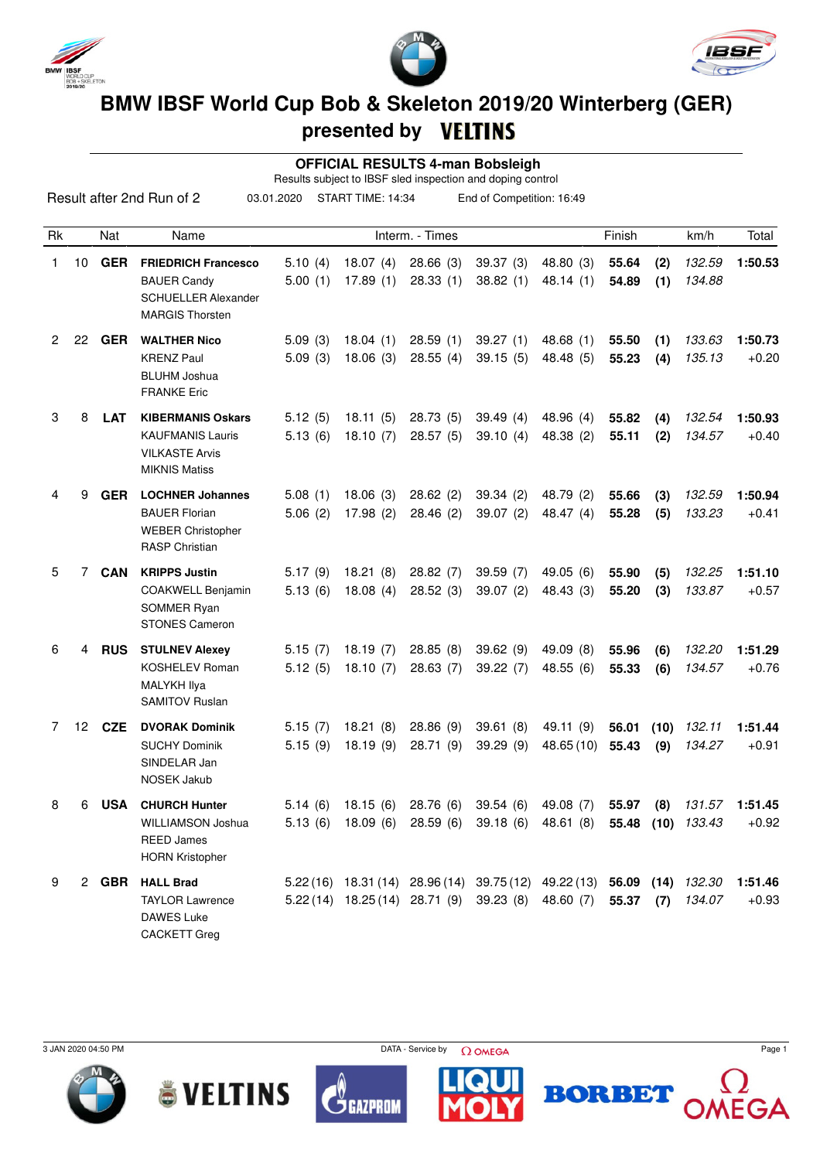





## **BMW IBSF World Cup Bob & Skeleton 2019/20 Winterberg (GER) presented by**

 **OFFICIAL RESULTS 4-man Bobsleigh**

Results subject to IBSF sled inspection and doping control

|                      |    |            | Result after 2nd Run of 2                                                                                | 03.01.2020         | START TIME: 14:34                                                                                                             |                      | End of Competition: 16:49     |                         |                |             |                                       |                    |
|----------------------|----|------------|----------------------------------------------------------------------------------------------------------|--------------------|-------------------------------------------------------------------------------------------------------------------------------|----------------------|-------------------------------|-------------------------|----------------|-------------|---------------------------------------|--------------------|
| Rk                   |    | Nat        | Name                                                                                                     |                    |                                                                                                                               | Interm. - Times      |                               |                         | Finish         |             | km/h                                  | Total              |
| 1                    |    | 10 GER     | <b>FRIEDRICH Francesco</b><br><b>BAUER Candy</b><br><b>SCHUELLER Alexander</b><br><b>MARGIS Thorsten</b> | 5.10(4)<br>5.00(1) | 18.07(4)<br>17.89(1)                                                                                                          | 28.66(3)<br>28.33(1) | 39.37(3)<br>38.82(1)          | 48.80 (3)<br>48.14(1)   | 55.64<br>54.89 | (2)<br>(1)  | 132.59<br>134.88                      | 1:50.53            |
| $\mathbf{2}^{\circ}$ | 22 | <b>GER</b> | <b>WALTHER Nico</b><br><b>KRENZ Paul</b><br><b>BLUHM Joshua</b><br><b>FRANKE Eric</b>                    | 5.09(3)<br>5.09(3) | 18.04(1)<br>18.06(3)                                                                                                          | 28.59(1)<br>28.55(4) | 39.27(1)<br>39.15(5)          | 48.68(1)<br>48.48 (5)   | 55.50<br>55.23 | (1)<br>(4)  | 133.63<br>135.13                      | 1:50.73<br>$+0.20$ |
| 3                    | 8  | <b>LAT</b> | <b>KIBERMANIS Oskars</b><br><b>KAUFMANIS Lauris</b><br><b>VILKASTE Arvis</b><br><b>MIKNIS Matiss</b>     | 5.12(5)<br>5.13(6) | 18.11(5)<br>18.10(7)                                                                                                          | 28.73(5)<br>28.57(5) | 39.49(4)<br>39.10(4)          | 48.96 (4)<br>48.38 (2)  | 55.82<br>55.11 | (4)<br>(2)  | 132.54<br>134.57                      | 1:50.93<br>$+0.40$ |
| 4                    | 9  | <b>GER</b> | <b>LOCHNER Johannes</b><br><b>BAUER Florian</b><br><b>WEBER Christopher</b><br><b>RASP Christian</b>     | 5.08(1)<br>5.06(2) | 18.06(3)<br>17.98(2)                                                                                                          | 28.62(2)<br>28.46(2) | 39.34(2)<br>39.07(2)          | 48.79 (2)<br>48.47 (4)  | 55.66<br>55.28 | (3)<br>(5)  | 132.59<br>133.23                      | 1:50.94<br>$+0.41$ |
| 5                    | 7  | <b>CAN</b> | <b>KRIPPS Justin</b><br>COAKWELL Benjamin<br>SOMMER Ryan<br><b>STONES Cameron</b>                        | 5.17(9)<br>5.13(6) | 18.21(8)<br>18.08(4)                                                                                                          | 28.82(7)<br>28.52(3) | 39.59(7)<br>39.07(2)          | 49.05(6)<br>48.43 (3)   | 55.90<br>55.20 | (5)<br>(3)  | 132.25<br>133.87                      | 1:51.10<br>$+0.57$ |
| 6                    | 4  | <b>RUS</b> | <b>STULNEV Alexey</b><br><b>KOSHELEV Roman</b><br>MALYKH Ilya<br>SAMITOV Ruslan                          | 5.15(7)<br>5.12(5) | 18.19(7)<br>18.10(7)                                                                                                          | 28.85(8)<br>28.63(7) | 39.62(9)<br>39.22(7)          | 49.09 (8)<br>48.55(6)   | 55.96<br>55.33 | (6)<br>(6)  | 132.20<br>134.57                      | 1:51.29<br>$+0.76$ |
| 7                    | 12 | <b>CZE</b> | <b>DVORAK Dominik</b><br><b>SUCHY Dominik</b><br>SINDELAR Jan<br><b>NOSEK Jakub</b>                      | 5.15(7)<br>5.15(9) | 18.21(8)<br>18.19(9)                                                                                                          | 28.86(9)<br>28.71(9) | 39.61(8)<br>39.29(9)          | 49.11 (9)<br>48.65 (10) | 56.01<br>55.43 | (10)<br>(9) | 132.11<br>134.27                      | 1:51.44<br>$+0.91$ |
| 8                    | 6  | <b>USA</b> | <b>CHURCH Hunter</b><br>WILLIAMSON Joshua<br><b>REED James</b><br><b>HORN Kristopher</b>                 | 5.13(6)            | 5.14 (6) 18.15 (6) 28.76 (6) 39.54 (6) 49.08 (7)<br>18.09 (6)                                                                 |                      | 28.59 (6) 39.18 (6) 48.61 (8) |                         |                |             | 55.97 (8) 131.57<br>55.48 (10) 133.43 | 1:51.45<br>$+0.92$ |
| 9                    |    |            | 2 GBR HALL Brad<br><b>TAYLOR Lawrence</b><br>DAWES Luke<br><b>CACKETT Greg</b>                           |                    | 5.22 (16) 18.31 (14) 28.96 (14) 39.75 (12) 49.22 (13) 56.09 (14) 132.30<br>5.22 (14) 18.25 (14) 28.71 (9) 39.23 (8) 48.60 (7) |                      |                               |                         | $55.37$ (7)    |             | 134.07                                | 1:51.46<br>$+0.93$ |









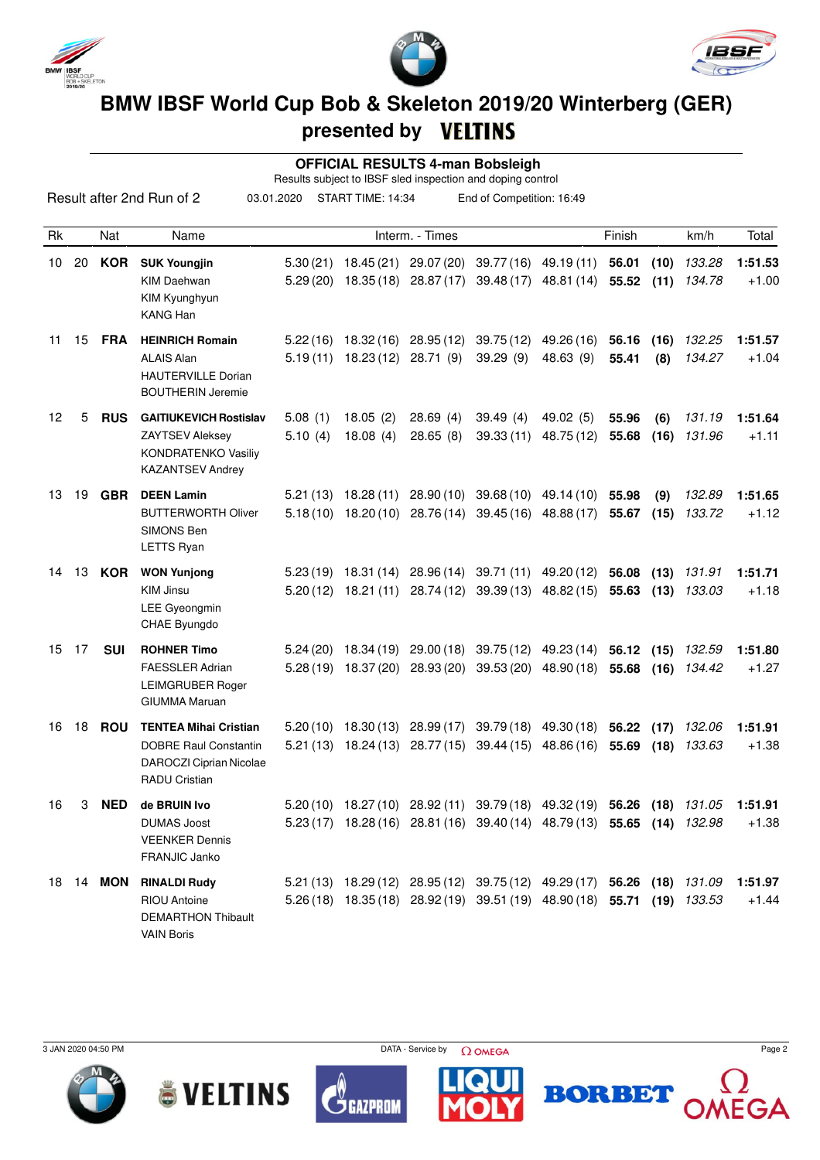





## **BMW IBSF World Cup Bob & Skeleton 2019/20 Winterberg (GER) presented by**

 **OFFICIAL RESULTS 4-man Bobsleigh**

Results subject to IBSF sled inspection and doping control

| 03.01.2020<br>START TIME: 14:34<br>End of Competition: 16:49<br>Result after 2nd Run of 2 |       |                  |                                                                                                                 |                       |                      |                                                           |                                                                                                                                               |                                                |                          |             |                  |                    |
|-------------------------------------------------------------------------------------------|-------|------------------|-----------------------------------------------------------------------------------------------------------------|-----------------------|----------------------|-----------------------------------------------------------|-----------------------------------------------------------------------------------------------------------------------------------------------|------------------------------------------------|--------------------------|-------------|------------------|--------------------|
| Rk                                                                                        |       | Nat              | Name                                                                                                            |                       |                      | Interm. - Times                                           |                                                                                                                                               |                                                | Finish                   |             | km/h             | Total              |
| 10                                                                                        | 20    | <b>KOR</b>       | <b>SUK Youngjin</b><br><b>KIM Daehwan</b><br>KIM Kyunghyun<br><b>KANG Han</b>                                   | 5.30 (21)<br>5.29(20) |                      | 18.45 (21) 29.07 (20)                                     | 18.35 (18) 28.87 (17) 39.48 (17) 48.81 (14)                                                                                                   | 39.77 (16) 49.19 (11)                          | 56.01<br>55.52(11)       | (10)        | 133.28<br>134.78 | 1:51.53<br>$+1.00$ |
| 11                                                                                        | 15    | <b>FRA</b>       | <b>HEINRICH Romain</b><br><b>ALAIS Alan</b><br><b>HAUTERVILLE Dorian</b><br><b>BOUTHERIN Jeremie</b>            | 5.19(11)              | 18.23 (12) 28.71 (9) | $5.22(16)$ 18.32(16) 28.95(12)                            | 39.29(9)                                                                                                                                      | 39.75 (12) 49.26 (16)<br>48.63 (9)             | 56.16<br>55.41           | (16)<br>(8) | 132.25<br>134.27 | 1:51.57<br>$+1.04$ |
| 12                                                                                        | 5     | <b>RUS</b>       | <b>GAITIUKEVICH Rostislav</b><br><b>ZAYTSEV Aleksey</b><br>KONDRATENKO Vasiliy<br><b>KAZANTSEV Andrey</b>       | 5.08(1)<br>5.10(4)    | 18.05(2)<br>18.08(4) | 28.69(4)<br>28.65(8)                                      | 39.49(4)<br>39.33 (11)                                                                                                                        | 49.02 (5)<br>48.75 (12)                        | 55.96<br>55.68           | (6)<br>(16) | 131.19<br>131.96 | 1:51.64<br>$+1.11$ |
| 13                                                                                        | 19    | <b>GBR</b>       | <b>DEEN Lamin</b><br><b>BUTTERWORTH Oliver</b><br>SIMONS Ben<br>LETTS Ryan                                      | 5.21(13)              | 18.28 (11)           |                                                           | 28.90 (10) 39.68 (10) 49.14 (10)<br>$5.18(10)$ $18.20(10)$ $28.76(14)$ $39.45(16)$ $48.88(17)$                                                |                                                | 55.98<br>55.67           | (9)<br>(15) | 132.89<br>133.72 | 1:51.65<br>$+1.12$ |
| 14.                                                                                       | 13    | KOR              | <b>WON Yunjong</b><br><b>KIM Jinsu</b><br>LEE Gyeongmin<br>CHAE Byungdo                                         |                       | $5.20(12)$ 18.21(11) | 28.74 (12)                                                | 5.23 (19) 18.31 (14) 28.96 (14) 39.71 (11) 49.20 (12)<br>39.39 (13)                                                                           | 48.82 (15)                                     | 56.08 (13)<br>55.63      | (13)        | 131.91<br>133.03 | 1:51.71<br>$+1.18$ |
|                                                                                           | 15 17 | <b>SUI</b>       | <b>ROHNER Timo</b><br><b>FAESSLER Adrian</b><br><b>LEIMGRUBER Roger</b><br><b>GIUMMA Maruan</b>                 | 5.24(20)              |                      | 18.34 (19) 29.00 (18)<br>$5.28(19)$ 18.37 (20) 28.93 (20) |                                                                                                                                               | 39.75 (12) 49.23 (14)<br>39.53 (20) 48.90 (18) | 56.12 (15)<br>55.68      | (16)        | 132.59<br>134.42 | 1:51.80<br>$+1.27$ |
| 16                                                                                        | 18    | <b>ROU</b>       | <b>TENTEA Mihai Cristian</b><br><b>DOBRE Raul Constantin</b><br>DAROCZI Ciprian Nicolae<br><b>RADU Cristian</b> |                       |                      |                                                           | $5.20(10)$ 18.30 (13) 28.99 (17) 39.79 (18) 49.30 (18)<br>5.21 (13) 18.24 (13) 28.77 (15) 39.44 (15) 48.86 (16)                               |                                                | 56.22 (17)<br>55.69 (18) |             | 132.06<br>133.63 | 1:51.91<br>$+1.38$ |
| 16                                                                                        | 3     | <b>NED</b>       | de BRUIN Ivo<br><b>DUMAS Joost</b><br><b>VEENKER Dennis</b><br>FRANJIC Janko                                    | 5.20(10)              |                      |                                                           | 18.27 (10) 28.92 (11) 39.79 (18) 49.32 (19)<br>5.23 (17) 18.28 (16) 28.81 (16) 39.40 (14) 48.79 (13) 55.65 (14) 132.98                        |                                                | 56.26                    | (18)        | 131.05           | 1:51.91<br>$+1.38$ |
|                                                                                           |       | 18 14 <b>MON</b> | <b>RINALDI Rudy</b><br>RIOU Antoine<br><b>DEMARTHON Thibault</b><br><b>VAIN Boris</b>                           |                       |                      |                                                           | 5.21 (13) 18.29 (12) 28.95 (12) 39.75 (12) 49.29 (17) 56.26 (18) 131.09<br>5.26(18) 18.35(18) 28.92(19) 39.51(19) 48.90(18) 55.71 (19) 133.53 |                                                |                          |             |                  | 1:51.97<br>$+1.44$ |